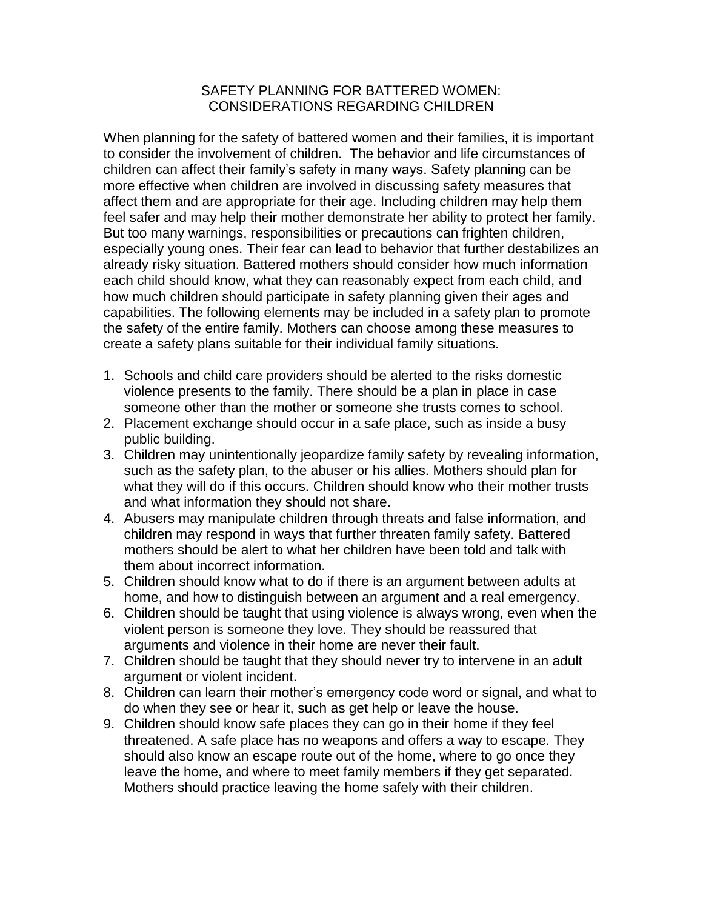## SAFETY PLANNING FOR BATTERED WOMEN: CONSIDERATIONS REGARDING CHILDREN

When planning for the safety of battered women and their families, it is important to consider the involvement of children. The behavior and life circumstances of children can affect their family's safety in many ways. Safety planning can be more effective when children are involved in discussing safety measures that affect them and are appropriate for their age. Including children may help them feel safer and may help their mother demonstrate her ability to protect her family. But too many warnings, responsibilities or precautions can frighten children, especially young ones. Their fear can lead to behavior that further destabilizes an already risky situation. Battered mothers should consider how much information each child should know, what they can reasonably expect from each child, and how much children should participate in safety planning given their ages and capabilities. The following elements may be included in a safety plan to promote the safety of the entire family. Mothers can choose among these measures to create a safety plans suitable for their individual family situations.

- 1. Schools and child care providers should be alerted to the risks domestic violence presents to the family. There should be a plan in place in case someone other than the mother or someone she trusts comes to school.
- 2. Placement exchange should occur in a safe place, such as inside a busy public building.
- 3. Children may unintentionally jeopardize family safety by revealing information, such as the safety plan, to the abuser or his allies. Mothers should plan for what they will do if this occurs. Children should know who their mother trusts and what information they should not share.
- 4. Abusers may manipulate children through threats and false information, and children may respond in ways that further threaten family safety. Battered mothers should be alert to what her children have been told and talk with them about incorrect information.
- 5. Children should know what to do if there is an argument between adults at home, and how to distinguish between an argument and a real emergency.
- 6. Children should be taught that using violence is always wrong, even when the violent person is someone they love. They should be reassured that arguments and violence in their home are never their fault.
- 7. Children should be taught that they should never try to intervene in an adult argument or violent incident.
- 8. Children can learn their mother's emergency code word or signal, and what to do when they see or hear it, such as get help or leave the house.
- 9. Children should know safe places they can go in their home if they feel threatened. A safe place has no weapons and offers a way to escape. They should also know an escape route out of the home, where to go once they leave the home, and where to meet family members if they get separated. Mothers should practice leaving the home safely with their children.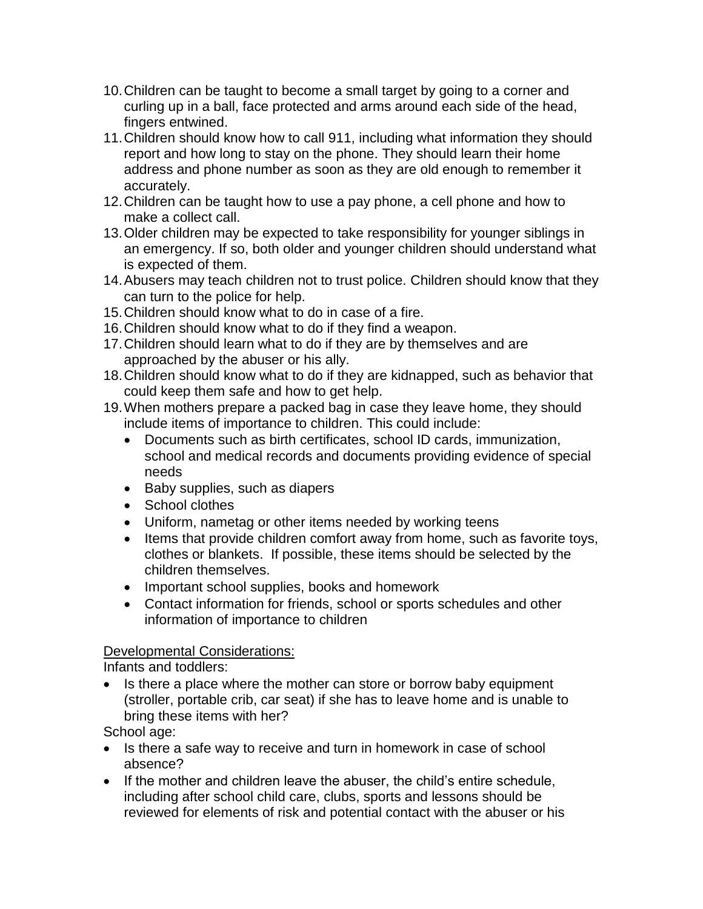- 10.Children can be taught to become a small target by going to a corner and curling up in a ball, face protected and arms around each side of the head, fingers entwined.
- 11.Children should know how to call 911, including what information they should report and how long to stay on the phone. They should learn their home address and phone number as soon as they are old enough to remember it accurately.
- 12.Children can be taught how to use a pay phone, a cell phone and how to make a collect call.
- 13.Older children may be expected to take responsibility for younger siblings in an emergency. If so, both older and younger children should understand what is expected of them.
- 14.Abusers may teach children not to trust police. Children should know that they can turn to the police for help.
- 15.Children should know what to do in case of a fire.
- 16.Children should know what to do if they find a weapon.
- 17.Children should learn what to do if they are by themselves and are approached by the abuser or his ally.
- 18.Children should know what to do if they are kidnapped, such as behavior that could keep them safe and how to get help.
- 19.When mothers prepare a packed bag in case they leave home, they should include items of importance to children. This could include:
	- Documents such as birth certificates, school ID cards, immunization, school and medical records and documents providing evidence of special needs
	- Baby supplies, such as diapers
	- School clothes
	- Uniform, nametag or other items needed by working teens
	- Items that provide children comfort away from home, such as favorite toys, clothes or blankets. If possible, these items should be selected by the children themselves.
	- Important school supplies, books and homework
	- Contact information for friends, school or sports schedules and other information of importance to children

## Developmental Considerations:

Infants and toddlers:

• Is there a place where the mother can store or borrow baby equipment (stroller, portable crib, car seat) if she has to leave home and is unable to bring these items with her?

School age:

- Is there a safe way to receive and turn in homework in case of school absence?
- If the mother and children leave the abuser, the child's entire schedule, including after school child care, clubs, sports and lessons should be reviewed for elements of risk and potential contact with the abuser or his